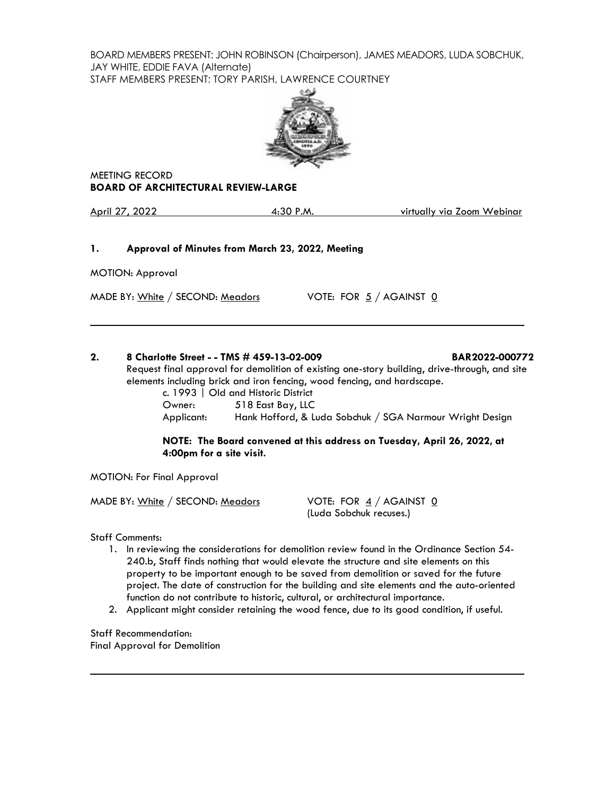BOARD MEMBERS PRESENT: JOHN ROBINSON (Chairperson), JAMES MEADORS, LUDA SOBCHUK, JAY WHITE, EDDIE FAVA (Alternate) STAFF MEMBERS PRESENT: TORY PARISH, LAWRENCE COURTNEY



MEETING RECORD **BOARD OF ARCHITECTURAL REVIEW-LARGE**

April 27, 2022 4:30 P.M. virtually via Zoom Webinar

## **1. Approval of Minutes from March 23, 2022, Meeting**

MOTION: Approval

MADE BY: White / SECOND: Meadors VOTE: FOR  $5/$  AGAINST  $\underline{0}$ 

# **2. 8 Charlotte Street - - TMS # 459-13-02-009 BAR2022-000772**

Request final approval for demolition of existing one-story building, drive-through, and site elements including brick and iron fencing, wood fencing, and hardscape.

c. 1993 | Old and Historic District Owner: 518 East Bay, LLC Applicant: Hank Hofford, & Luda Sobchuk / SGA Narmour Wright Design

# **NOTE: The Board convened at this address on Tuesday, April 26, 2022, at 4:00pm for a site visit.**

MOTION: For Final Approval

MADE BY: White / SECOND: Meadors VOTE: FOR  $\frac{4}{1}$  / AGAINST 0

(Luda Sobchuk recuses.)

Staff Comments:

- 1. In reviewing the considerations for demolition review found in the Ordinance Section 54- 240.b, Staff finds nothing that would elevate the structure and site elements on this property to be important enough to be saved from demolition or saved for the future project. The date of construction for the building and site elements and the auto-oriented function do not contribute to historic, cultural, or architectural importance.
- 2. Applicant might consider retaining the wood fence, due to its good condition, if useful.

Staff Recommendation: Final Approval for Demolition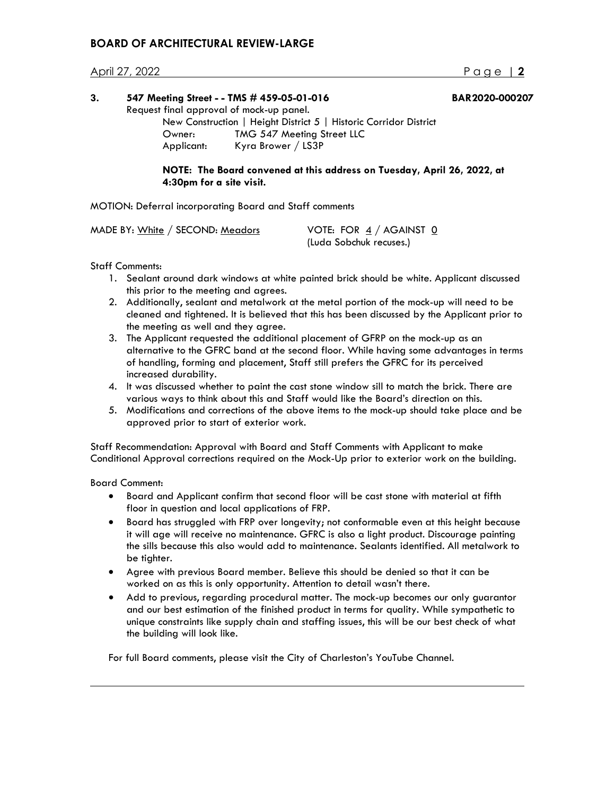# **BOARD OF ARCHITECTURAL REVIEW-LARGE**

## April 27, 2022 Page | **2**

| 3. | 547 Meeting Street - - TMS # 459-05-01-016<br>Request final approval of mock-up panel. |                                                                         | <b>BAR2020-000207</b> |  |
|----|----------------------------------------------------------------------------------------|-------------------------------------------------------------------------|-----------------------|--|
|    |                                                                                        |                                                                         |                       |  |
|    |                                                                                        | New Construction   Height District 5   Historic Corridor District       |                       |  |
|    | Owner:                                                                                 | TMG 547 Meeting Street LLC                                              |                       |  |
|    | Applicant:                                                                             | Kyra Brower / LS3P                                                      |                       |  |
|    | 4:30pm for a site visit.                                                               | NOTE: The Board convened at this address on Tuesday, April 26, 2022, at |                       |  |

MOTION: Deferral incorporating Board and Staff comments

| MADE BY: White / SECOND: Meadors | VOTE: FOR $4/$ AGAINST 0 |
|----------------------------------|--------------------------|
|                                  | (Luda Sobchuk recuses.)  |

#### Staff Comments:

- 1. Sealant around dark windows at white painted brick should be white. Applicant discussed this prior to the meeting and agrees.
- 2. Additionally, sealant and metalwork at the metal portion of the mock-up will need to be cleaned and tightened. It is believed that this has been discussed by the Applicant prior to the meeting as well and they agree.
- 3. The Applicant requested the additional placement of GFRP on the mock-up as an alternative to the GFRC band at the second floor. While having some advantages in terms of handling, forming and placement, Staff still prefers the GFRC for its perceived increased durability.
- 4. It was discussed whether to paint the cast stone window sill to match the brick. There are various ways to think about this and Staff would like the Board's direction on this.
- 5. Modifications and corrections of the above items to the mock-up should take place and be approved prior to start of exterior work.

Staff Recommendation: Approval with Board and Staff Comments with Applicant to make Conditional Approval corrections required on the Mock-Up prior to exterior work on the building.

Board Comment:

- Board and Applicant confirm that second floor will be cast stone with material at fifth floor in question and local applications of FRP.
- Board has struggled with FRP over longevity; not conformable even at this height because it will age will receive no maintenance. GFRC is also a light product. Discourage painting the sills because this also would add to maintenance. Sealants identified. All metalwork to be tighter.
- Agree with previous Board member. Believe this should be denied so that it can be worked on as this is only opportunity. Attention to detail wasn't there.
- Add to previous, regarding procedural matter. The mock-up becomes our only guarantor and our best estimation of the finished product in terms for quality. While sympathetic to unique constraints like supply chain and staffing issues, this will be our best check of what the building will look like.

For full Board comments, please visit the City of Charleston's YouTube Channel.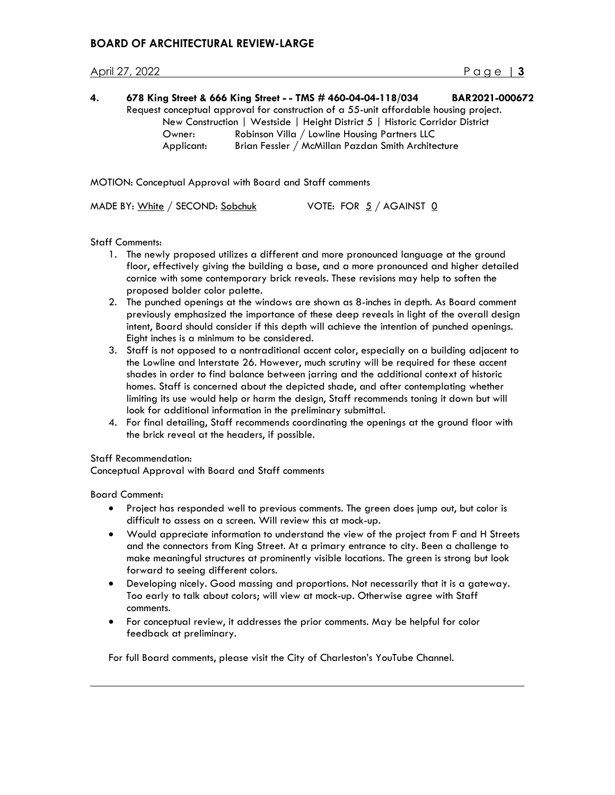| 4. |            | 678 King Street & 666 King Street - - TMS # 460-04-04-118/034                         | BAR2021-000672 |
|----|------------|---------------------------------------------------------------------------------------|----------------|
|    |            | Request conceptual approval for construction of a 55-unit affordable housing project. |                |
|    |            | New Construction   Westside   Height District 5   Historic Corridor District          |                |
|    | Owner:     | Robinson Villa / Lowline Housing Partners LLC                                         |                |
|    | Applicant: | Brian Fessler / McMillan Pazdan Smith Architecture                                    |                |

MOTION: Conceptual Approval with Board and Staff comments

MADE BY: White / SECOND: Sobchuk VOTE: FOR 5 / AGAINST 0

Staff Comments:

- 1. The newly proposed utilizes a different and more pronounced language at the ground floor, effectively giving the building a base, and a more pronounced and higher detailed cornice with some contemporary brick reveals. These revisions may help to soften the proposed bolder color palette.
- 2. The punched openings at the windows are shown as 8-inches in depth. As Board comment previously emphasized the importance of these deep reveals in light of the overall design intent, Board should consider if this depth will achieve the intention of punched openings. Eight inches is a minimum to be considered.
- 3. Staff is not opposed to a nontraditional accent color, especially on a building adjacent to the Lowline and Interstate 26. However, much scrutiny will be required for these accent shades in order to find balance between jarring and the additional context of historic homes. Staff is concerned about the depicted shade, and after contemplating whether limiting its use would help or harm the design, Staff recommends toning it down but will look for additional information in the preliminary submittal.
- 4. For final detailing, Staff recommends coordinating the openings at the ground floor with the brick reveal at the headers, if possible.

Staff Recommendation:

Conceptual Approval with Board and Staff comments

Board Comment:

- Project has responded well to previous comments. The green does jump out, but color is difficult to assess on a screen. Will review this at mock-up.
- Would appreciate information to understand the view of the project from F and H Streets and the connectors from King Street. At a primary entrance to city. Been a challenge to make meaningful structures at prominently visible locations. The green is strong but look forward to seeing different colors.
- Developing nicely. Good massing and proportions. Not necessarily that it is a gateway. Too early to talk about colors; will view at mock-up. Otherwise agree with Staff comments.
- For conceptual review, it addresses the prior comments. May be helpful for color feedback at preliminary.

For full Board comments, please visit the City of Charleston's YouTube Channel.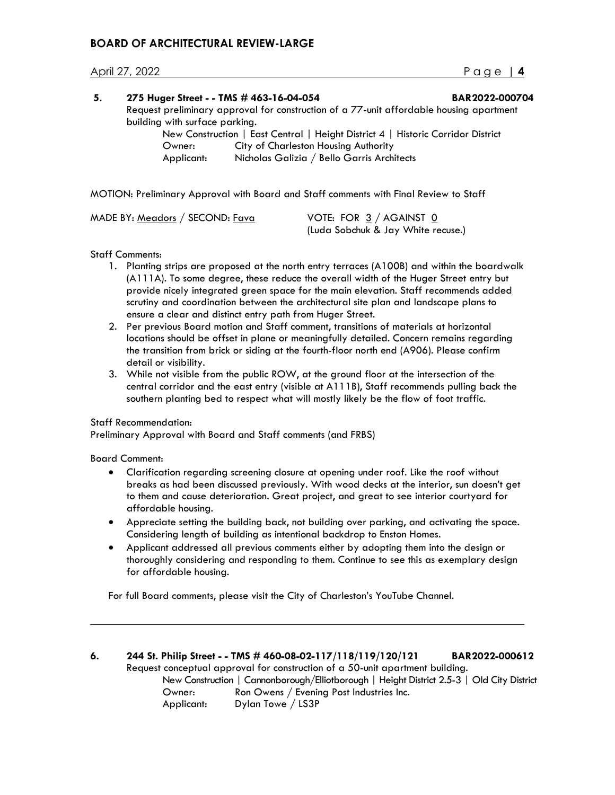# **BOARD OF ARCHITECTURAL REVIEW-LARGE**

#### April 27, 2022 Page | **4**

| 5. |                                                                                         | 275 Huger Street - - TMS # 463-16-04-054                                         | BAR2022-000704 |
|----|-----------------------------------------------------------------------------------------|----------------------------------------------------------------------------------|----------------|
|    | Request preliminary approval for construction of a 77-unit affordable housing apartment |                                                                                  |                |
|    | building with surface parking.                                                          |                                                                                  |                |
|    |                                                                                         | New Construction   East Central   Height District 4   Historic Corridor District |                |
|    | Owner:                                                                                  | City of Charleston Housing Authority                                             |                |
|    | Applicant:                                                                              | Nicholas Galizia / Bello Garris Architects                                       |                |
|    |                                                                                         |                                                                                  |                |

MOTION: Preliminary Approval with Board and Staff comments with Final Review to Staff

| MADE BY: Meadors / SECOND: Fava | VOTE: FOR $3/$ AGAINST 0           |  |
|---------------------------------|------------------------------------|--|
|                                 | (Luda Sobchuk & Jay White recuse.) |  |

#### Staff Comments:

- 1. Planting strips are proposed at the north entry terraces (A100B) and within the boardwalk (A111A). To some degree, these reduce the overall width of the Huger Street entry but provide nicely integrated green space for the main elevation. Staff recommends added scrutiny and coordination between the architectural site plan and landscape plans to ensure a clear and distinct entry path from Huger Street.
- 2. Per previous Board motion and Staff comment, transitions of materials at horizontal locations should be offset in plane or meaningfully detailed. Concern remains regarding the transition from brick or siding at the fourth-floor north end (A906). Please confirm detail or visibility.
- 3. While not visible from the public ROW, at the ground floor at the intersection of the central corridor and the east entry (visible at A111B), Staff recommends pulling back the southern planting bed to respect what will mostly likely be the flow of foot traffic.

#### Staff Recommendation:

Preliminary Approval with Board and Staff comments (and FRBS)

Board Comment:

- Clarification regarding screening closure at opening under roof. Like the roof without breaks as had been discussed previously. With wood decks at the interior, sun doesn't get to them and cause deterioration. Great project, and great to see interior courtyard for affordable housing.
- Appreciate setting the building back, not building over parking, and activating the space. Considering length of building as intentional backdrop to Enston Homes.
- Applicant addressed all previous comments either by adopting them into the design or thoroughly considering and responding to them. Continue to see this as exemplary design for affordable housing.

For full Board comments, please visit the City of Charleston's YouTube Channel.

**6. 244 St. Philip Street - - TMS # 460-08-02-117/118/119/120/121 BAR2022-000612** Request conceptual approval for construction of a 50-unit apartment building. New Construction | Cannonborough/Elliotborough | Height District 2.5-3 | Old City District Owner: Ron Owens / Evening Post Industries Inc. Applicant: Dylan Towe / LS3P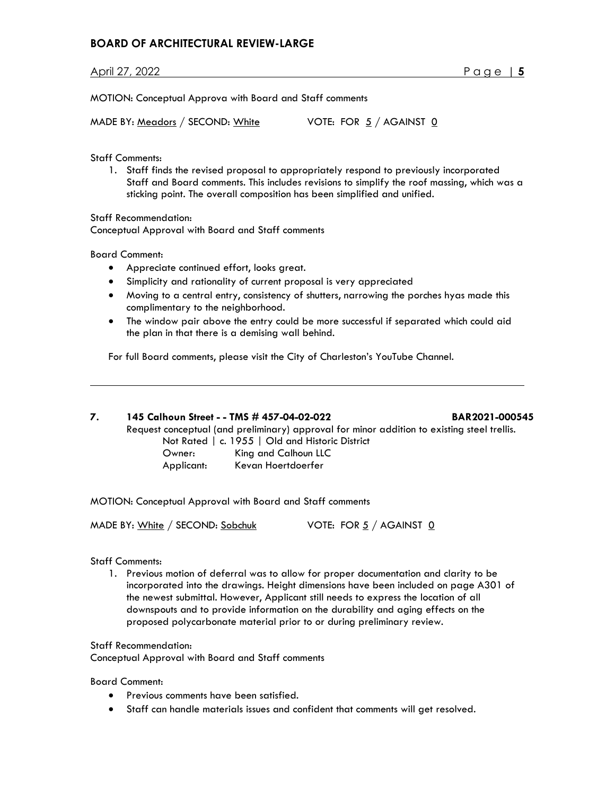# **BOARD OF ARCHITECTURAL REVIEW-LARGE**

April 27, 2022 Page | **5**

MOTION: Conceptual Approva with Board and Staff comments

MADE BY:  $Meadors / SECOND: White$  VOTE: FOR  $5 / AGAINT 0$ </u>

Staff Comments:

1. Staff finds the revised proposal to appropriately respond to previously incorporated Staff and Board comments. This includes revisions to simplify the roof massing, which was a sticking point. The overall composition has been simplified and unified.

Staff Recommendation: Conceptual Approval with Board and Staff comments

Board Comment:

- Appreciate continued effort, looks great.
- Simplicity and rationality of current proposal is very appreciated
- Moving to a central entry, consistency of shutters, narrowing the porches hyas made this complimentary to the neighborhood.
- The window pair above the entry could be more successful if separated which could aid the plan in that there is a demising wall behind.

For full Board comments, please visit the City of Charleston's YouTube Channel.

**7. 145 Calhoun Street - - TMS # 457-04-02-022 BAR2021-000545**

Request conceptual (and preliminary) approval for minor addition to existing steel trellis.

Not Rated | c. 1955 | Old and Historic District Owner: King and Calhoun LLC Applicant: Kevan Hoertdoerfer

MOTION: Conceptual Approval with Board and Staff comments

MADE BY: White / SECOND: Sobchuk VOTE: FOR 5 / AGAINST 0

Staff Comments:

1. Previous motion of deferral was to allow for proper documentation and clarity to be incorporated into the drawings. Height dimensions have been included on page A301 of the newest submittal. However, Applicant still needs to express the location of all downspouts and to provide information on the durability and aging effects on the proposed polycarbonate material prior to or during preliminary review.

Staff Recommendation:

Conceptual Approval with Board and Staff comments

Board Comment:

- Previous comments have been satisfied.
- Staff can handle materials issues and confident that comments will get resolved.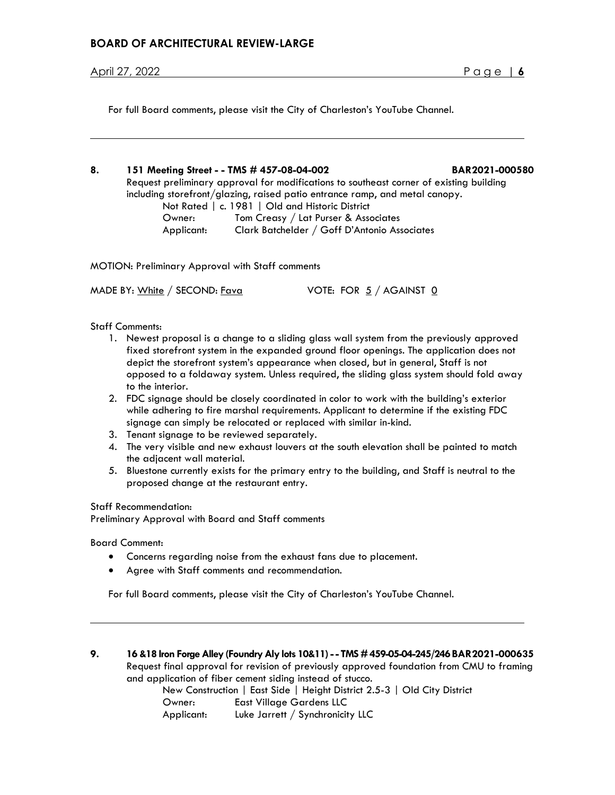For full Board comments, please visit the City of Charleston's YouTube Channel.

**8. 151 Meeting Street - - TMS # 457-08-04-002 BAR2021-000580** Request preliminary approval for modifications to southeast corner of existing building including storefront/glazing, raised patio entrance ramp, and metal canopy. Not Rated | c. 1981 | Old and Historic District Owner: Tom Creasy / Lat Purser & Associates

Applicant: Clark Batchelder / Goff D'Antonio Associates

MOTION: Preliminary Approval with Staff comments

MADE BY: White / SECOND:  $Fava$  VOTE: FOR  $5/$  AGAINST  $0$ 

Staff Comments:

- 1. Newest proposal is a change to a sliding glass wall system from the previously approved fixed storefront system in the expanded ground floor openings. The application does not depict the storefront system's appearance when closed, but in general, Staff is not opposed to a foldaway system. Unless required, the sliding glass system should fold away to the interior.
- 2. FDC signage should be closely coordinated in color to work with the building's exterior while adhering to fire marshal requirements. Applicant to determine if the existing FDC signage can simply be relocated or replaced with similar in-kind.
- 3. Tenant signage to be reviewed separately.
- 4. The very visible and new exhaust louvers at the south elevation shall be painted to match the adjacent wall material.
- 5. Bluestone currently exists for the primary entry to the building, and Staff is neutral to the proposed change at the restaurant entry.

Staff Recommendation:

Preliminary Approval with Board and Staff comments

Board Comment:

- Concerns regarding noise from the exhaust fans due to placement.
- Agree with Staff comments and recommendation.

For full Board comments, please visit the City of Charleston's YouTube Channel.

**9. 16 &18 Iron Forge Alley (Foundry Aly lots 10&11) -- TMS #459-05-04-245/246BAR2021-000635** Request final approval for revision of previously approved foundation from CMU to framing and application of fiber cement siding instead of stucco.

New Construction | East Side | Height District 2.5-3 | Old City District Owner: East Village Gardens LLC Applicant: Luke Jarrett / Synchronicity LLC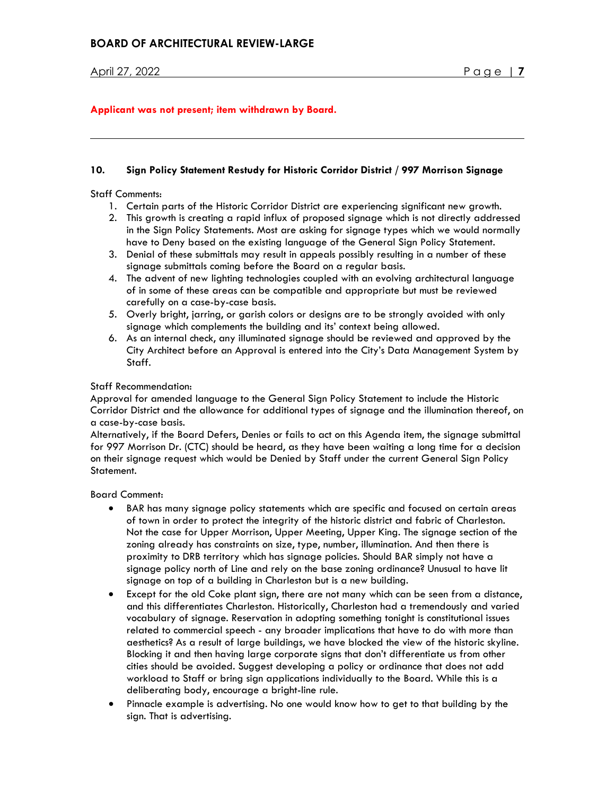## **Applicant was not present; item withdrawn by Board.**

#### **10. Sign Policy Statement Restudy for Historic Corridor District / 997 Morrison Signage**

Staff Comments:

- 1. Certain parts of the Historic Corridor District are experiencing significant new growth.
- 2. This growth is creating a rapid influx of proposed signage which is not directly addressed in the Sign Policy Statements. Most are asking for signage types which we would normally have to Deny based on the existing language of the General Sign Policy Statement.
- 3. Denial of these submittals may result in appeals possibly resulting in a number of these signage submittals coming before the Board on a regular basis.
- 4. The advent of new lighting technologies coupled with an evolving architectural language of in some of these areas can be compatible and appropriate but must be reviewed carefully on a case-by-case basis.
- 5. Overly bright, jarring, or garish colors or designs are to be strongly avoided with only signage which complements the building and its' context being allowed.
- 6. As an internal check, any illuminated signage should be reviewed and approved by the City Architect before an Approval is entered into the City's Data Management System by Staff.

#### Staff Recommendation:

Approval for amended language to the General Sign Policy Statement to include the Historic Corridor District and the allowance for additional types of signage and the illumination thereof, on a case-by-case basis.

Alternatively, if the Board Defers, Denies or fails to act on this Agenda item, the signage submittal for 997 Morrison Dr. (CTC) should be heard, as they have been waiting a long time for a decision on their signage request which would be Denied by Staff under the current General Sign Policy Statement.

Board Comment:

- BAR has many signage policy statements which are specific and focused on certain areas of town in order to protect the integrity of the historic district and fabric of Charleston. Not the case for Upper Morrison, Upper Meeting, Upper King. The signage section of the zoning already has constraints on size, type, number, illumination. And then there is proximity to DRB territory which has signage policies. Should BAR simply not have a signage policy north of Line and rely on the base zoning ordinance? Unusual to have lit signage on top of a building in Charleston but is a new building.
- Except for the old Coke plant sign, there are not many which can be seen from a distance, and this differentiates Charleston. Historically, Charleston had a tremendously and varied vocabulary of signage. Reservation in adopting something tonight is constitutional issues related to commercial speech - any broader implications that have to do with more than aesthetics? As a result of large buildings, we have blocked the view of the historic skyline. Blocking it and then having large corporate signs that don't differentiate us from other cities should be avoided. Suggest developing a policy or ordinance that does not add workload to Staff or bring sign applications individually to the Board. While this is a deliberating body, encourage a bright-line rule.
- Pinnacle example is advertising. No one would know how to get to that building by the sign. That is advertising.